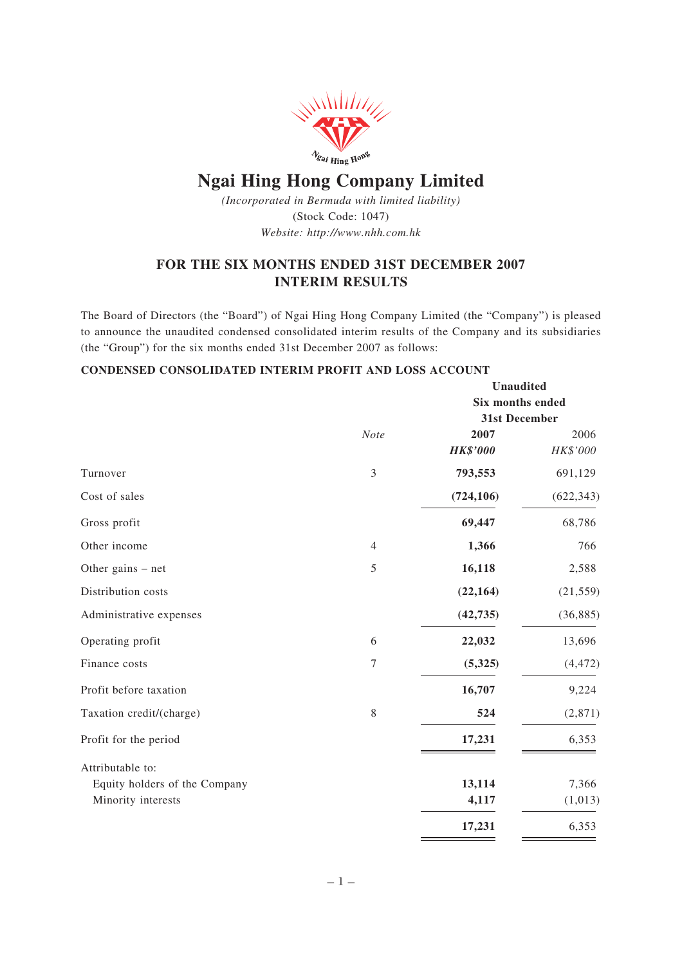

# **Ngai Hing Hong Company Limited**

*(Incorporated in Bermuda with limited liability)* (Stock Code: 1047) *Website: http://www.nhh.com.hk*

# **FOR THE SIX MONTHS ENDED 31ST DECEMBER 2007 INTERIM RESULTS**

The Board of Directors (the "Board") of Ngai Hing Hong Company Limited (the "Company") is pleased to announce the unaudited condensed consolidated interim results of the Company and its subsidiaries (the "Group") for the six months ended 31st December 2007 as follows:

# **CONDENSED CONSOLIDATED INTERIM PROFIT AND LOSS ACCOUNT**

|                               |                | <b>Unaudited</b> |            |  |
|-------------------------------|----------------|------------------|------------|--|
|                               |                | Six months ended |            |  |
|                               |                | 31st December    |            |  |
|                               | Note           | 2007             | 2006       |  |
|                               |                | <b>HK\$'000</b>  | HK\$'000   |  |
| Turnover                      | 3              | 793,553          | 691,129    |  |
| Cost of sales                 |                | (724, 106)       | (622, 343) |  |
| Gross profit                  |                | 69,447           | 68,786     |  |
| Other income                  | $\overline{4}$ | 1,366            | 766        |  |
| Other gains $-$ net           | 5              | 16,118           | 2,588      |  |
| Distribution costs            |                | (22, 164)        | (21, 559)  |  |
| Administrative expenses       |                | (42, 735)        | (36, 885)  |  |
| Operating profit              | 6              | 22,032           | 13,696     |  |
| Finance costs                 | 7              | (5,325)          | (4, 472)   |  |
| Profit before taxation        |                | 16,707           | 9,224      |  |
| Taxation credit/(charge)      | 8              | 524              | (2,871)    |  |
| Profit for the period         |                | 17,231           | 6,353      |  |
| Attributable to:              |                |                  |            |  |
| Equity holders of the Company |                | 13,114           | 7,366      |  |
| Minority interests            |                | 4,117            | (1,013)    |  |
|                               |                | 17,231           | 6,353      |  |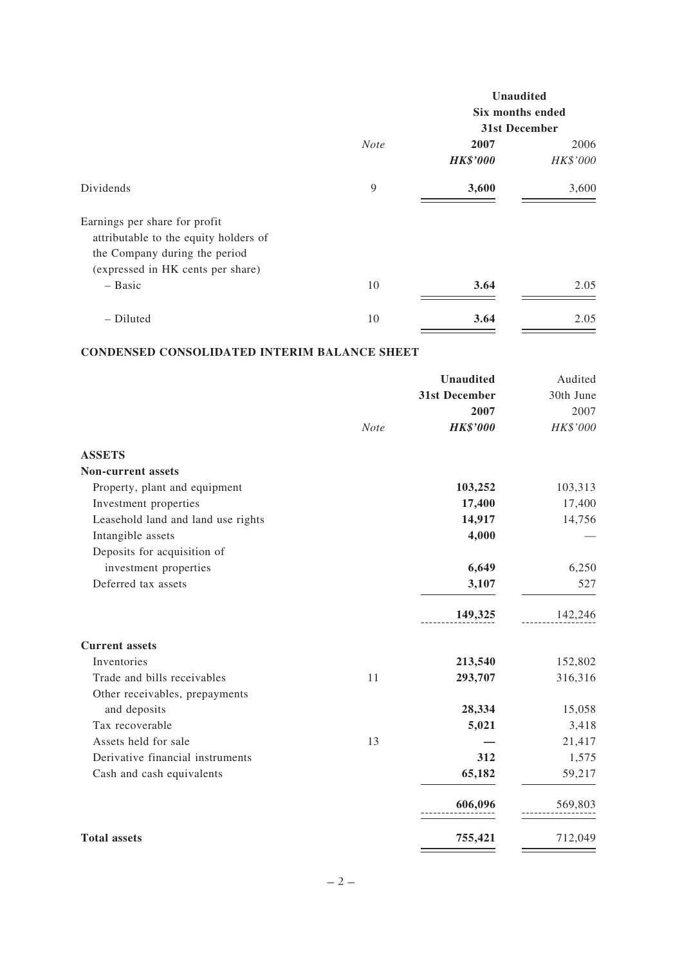|                                                                                                                                              |             | <b>Unaudited</b> |          |
|----------------------------------------------------------------------------------------------------------------------------------------------|-------------|------------------|----------|
|                                                                                                                                              |             | Six months ended |          |
|                                                                                                                                              |             | 31st December    |          |
|                                                                                                                                              | <b>Note</b> | 2007             | 2006     |
|                                                                                                                                              |             | <b>HK\$'000</b>  | HK\$'000 |
| Dividends                                                                                                                                    | 9           | 3,600            | 3,600    |
| Earnings per share for profit<br>attributable to the equity holders of<br>the Company during the period<br>(expressed in HK cents per share) |             |                  |          |
| $-$ Basic                                                                                                                                    | 10          | 3.64             | 2.05     |
| - Diluted                                                                                                                                    | 10          | 3.64             | 2.05     |

# **CONDENSED CONSOLIDATED INTERIM BALANCE SHEET**

|                                    |      | <b>Unaudited</b> | Audited   |
|------------------------------------|------|------------------|-----------|
|                                    |      | 31st December    | 30th June |
|                                    |      | 2007             | 2007      |
|                                    | Note | <b>HK\$'000</b>  | HK\$'000  |
| <b>ASSETS</b>                      |      |                  |           |
| <b>Non-current assets</b>          |      |                  |           |
| Property, plant and equipment      |      | 103,252          | 103,313   |
| Investment properties              |      | 17,400           | 17,400    |
| Leasehold land and land use rights |      | 14,917           | 14,756    |
| Intangible assets                  |      | 4,000            |           |
| Deposits for acquisition of        |      |                  |           |
| investment properties              |      | 6,649            | 6,250     |
| Deferred tax assets                |      | 3,107            | 527       |
|                                    |      | 149,325          | 142,246   |
| <b>Current assets</b>              |      |                  |           |
| Inventories                        |      | 213,540          | 152,802   |
| Trade and bills receivables        | 11   | 293,707          | 316,316   |
| Other receivables, prepayments     |      |                  |           |
| and deposits                       |      | 28,334           | 15,058    |
| Tax recoverable                    |      | 5,021            | 3,418     |
| Assets held for sale               | 13   |                  | 21,417    |
| Derivative financial instruments   |      | 312              | 1,575     |
| Cash and cash equivalents          |      | 65,182           | 59,217    |
|                                    |      | 606,096          | 569,803   |
| <b>Total assets</b>                |      | 755,421          | 712,049   |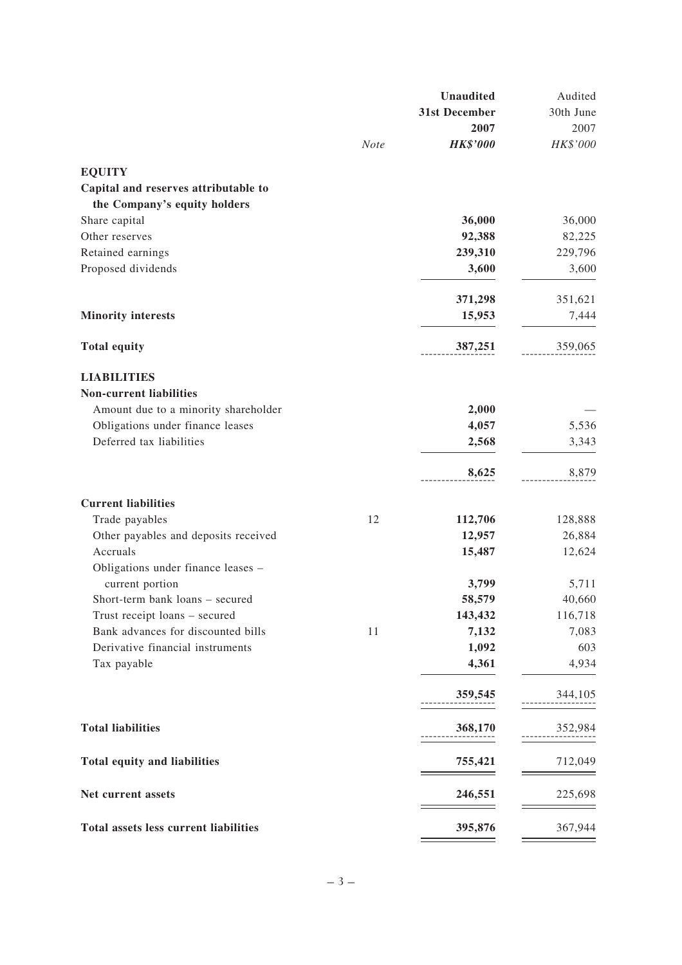|                                       |             | <b>Unaudited</b> | Audited   |
|---------------------------------------|-------------|------------------|-----------|
|                                       |             | 31st December    | 30th June |
|                                       |             | 2007             | 2007      |
|                                       | <b>Note</b> | <b>HK\$'000</b>  | HK\$'000  |
| <b>EQUITY</b>                         |             |                  |           |
| Capital and reserves attributable to  |             |                  |           |
| the Company's equity holders          |             |                  |           |
| Share capital                         |             | 36,000           | 36,000    |
| Other reserves                        |             | 92,388           | 82,225    |
| Retained earnings                     |             | 239,310          | 229,796   |
| Proposed dividends                    |             | 3,600            | 3,600     |
|                                       |             | 371,298          | 351,621   |
| <b>Minority interests</b>             |             | 15,953           | 7,444     |
|                                       |             |                  |           |
| <b>Total equity</b>                   |             | 387,251          | 359,065   |
| <b>LIABILITIES</b>                    |             |                  |           |
| <b>Non-current liabilities</b>        |             |                  |           |
| Amount due to a minority shareholder  |             | 2,000            |           |
| Obligations under finance leases      |             | 4,057            | 5,536     |
| Deferred tax liabilities              |             | 2,568            | 3,343     |
|                                       |             | 8,625            | 8,879     |
| <b>Current liabilities</b>            |             |                  |           |
| Trade payables                        | 12          | 112,706          | 128,888   |
| Other payables and deposits received  |             | 12,957           | 26,884    |
| Accruals                              |             | 15,487           | 12,624    |
| Obligations under finance leases -    |             |                  |           |
| current portion                       |             | 3,799            | 5,711     |
| Short-term bank loans – secured       |             | 58,579           | 40,660    |
| Trust receipt loans - secured         |             | 143,432          | 116,718   |
| Bank advances for discounted bills    | 11          | 7,132            | 7,083     |
| Derivative financial instruments      |             | 1,092            | 603       |
| Tax payable                           |             | 4,361            | 4,934     |
|                                       |             | 359,545          | 344,105   |
| <b>Total liabilities</b>              |             | 368,170          | 352,984   |
| Total equity and liabilities          |             | 755,421          | 712,049   |
| Net current assets                    |             | 246,551          | 225,698   |
| Total assets less current liabilities |             | 395,876          | 367,944   |
|                                       |             |                  |           |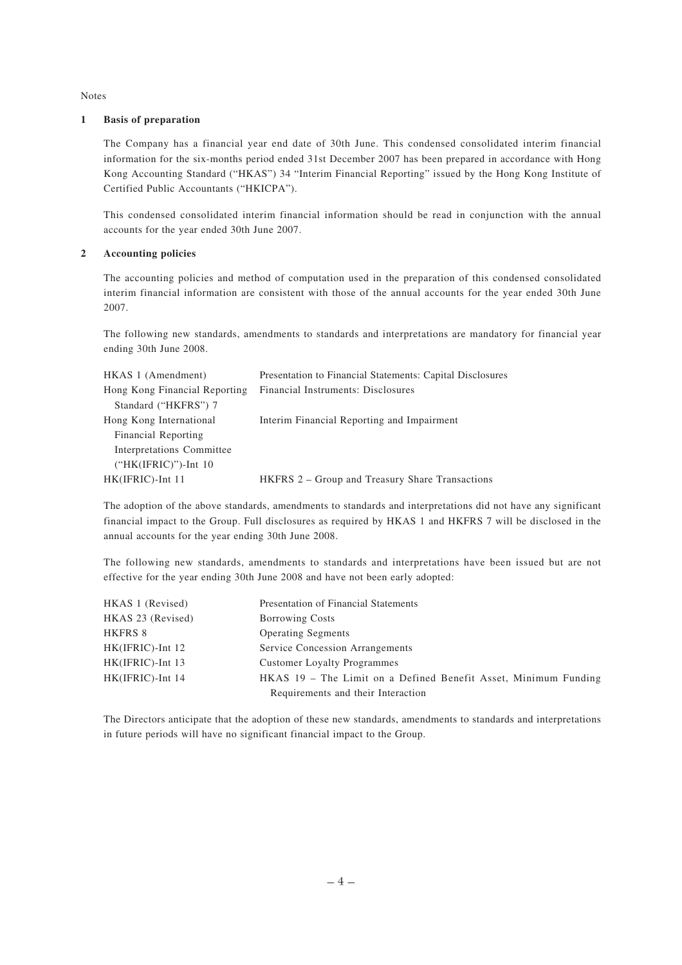Notes

#### **1 Basis of preparation**

The Company has a financial year end date of 30th June. This condensed consolidated interim financial information for the six-months period ended 31st December 2007 has been prepared in accordance with Hong Kong Accounting Standard ("HKAS") 34 "Interim Financial Reporting" issued by the Hong Kong Institute of Certified Public Accountants ("HKICPA").

This condensed consolidated interim financial information should be read in conjunction with the annual accounts for the year ended 30th June 2007.

#### **2 Accounting policies**

The accounting policies and method of computation used in the preparation of this condensed consolidated interim financial information are consistent with those of the annual accounts for the year ended 30th June 2007.

The following new standards, amendments to standards and interpretations are mandatory for financial year ending 30th June 2008.

| HKAS 1 (Amendment)            | Presentation to Financial Statements: Capital Disclosures |
|-------------------------------|-----------------------------------------------------------|
| Hong Kong Financial Reporting | Financial Instruments: Disclosures                        |
| Standard ("HKFRS") 7          |                                                           |
| Hong Kong International       | Interim Financial Reporting and Impairment                |
| Financial Reporting           |                                                           |
| Interpretations Committee     |                                                           |
| $("HK(IFRIC)")$ -Int 10       |                                                           |
| HK(IFRIC)-Int 11              | HKFRS 2 – Group and Treasury Share Transactions           |

The adoption of the above standards, amendments to standards and interpretations did not have any significant financial impact to the Group. Full disclosures as required by HKAS 1 and HKFRS 7 will be disclosed in the annual accounts for the year ending 30th June 2008.

The following new standards, amendments to standards and interpretations have been issued but are not effective for the year ending 30th June 2008 and have not been early adopted:

| HKAS 1 (Revised)    | Presentation of Financial Statements                            |
|---------------------|-----------------------------------------------------------------|
| HKAS 23 (Revised)   | <b>Borrowing Costs</b>                                          |
| HKFRS 8             | <b>Operating Segments</b>                                       |
| $HK(IFRIC)$ -Int 12 | Service Concession Arrangements                                 |
| HK(IFRIC)-Int 13    | <b>Customer Loyalty Programmes</b>                              |
| HK(IFRIC)-Int 14    | HKAS 19 – The Limit on a Defined Benefit Asset, Minimum Funding |
|                     | Requirements and their Interaction                              |

The Directors anticipate that the adoption of these new standards, amendments to standards and interpretations in future periods will have no significant financial impact to the Group.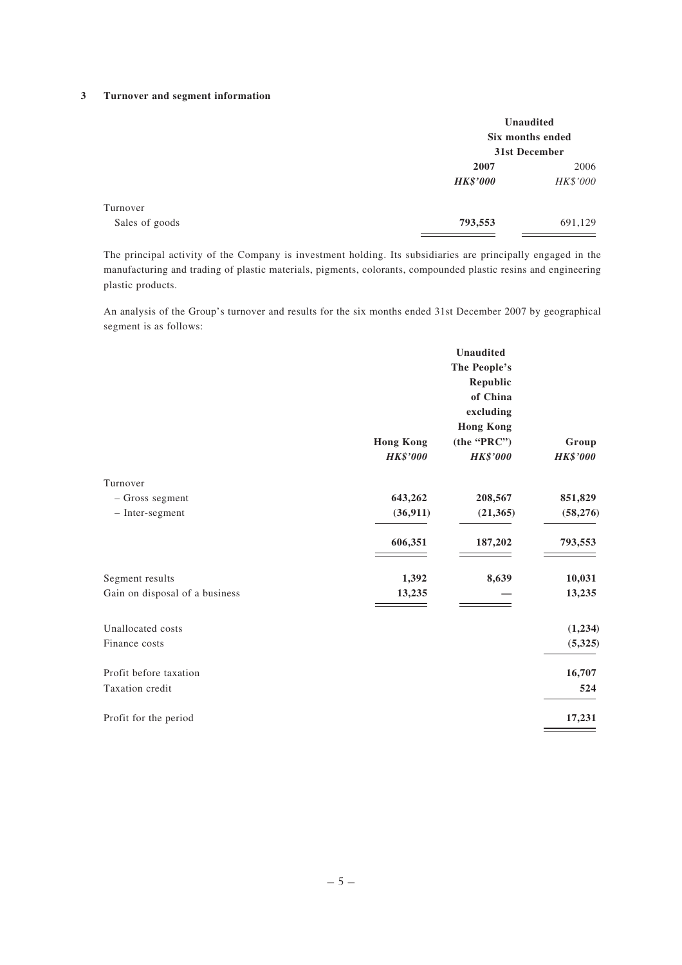#### **3 Turnover and segment information**

|                |                 | Unaudited<br>Six months ended<br>31st December |
|----------------|-----------------|------------------------------------------------|
|                | 2007            | 2006                                           |
|                | <b>HK\$'000</b> | HK\$'000                                       |
| Turnover       |                 |                                                |
| Sales of goods | 793,553         | 691,129                                        |

The principal activity of the Company is investment holding. Its subsidiaries are principally engaged in the manufacturing and trading of plastic materials, pigments, colorants, compounded plastic resins and engineering plastic products.

An analysis of the Group's turnover and results for the six months ended 31st December 2007 by geographical segment is as follows:

|                                |                  | Unaudited        |                 |
|--------------------------------|------------------|------------------|-----------------|
|                                |                  | The People's     |                 |
|                                |                  | Republic         |                 |
|                                |                  | of China         |                 |
|                                |                  | excluding        |                 |
|                                |                  | <b>Hong Kong</b> |                 |
|                                | <b>Hong Kong</b> | (the 'PRC")      | Group           |
|                                | <b>HK\$'000</b>  | <b>HK\$'000</b>  | <b>HK\$'000</b> |
| Turnover                       |                  |                  |                 |
| - Gross segment                | 643,262          | 208,567          | 851,829         |
| - Inter-segment                | (36, 911)        | (21, 365)        | (58, 276)       |
|                                | 606,351          | 187,202          | 793,553         |
| Segment results                | 1,392            | 8,639            | 10,031          |
| Gain on disposal of a business | 13,235           |                  | 13,235          |
|                                |                  |                  |                 |
| Unallocated costs              |                  |                  | (1,234)         |
| Finance costs                  |                  |                  | (5, 325)        |
| Profit before taxation         |                  |                  | 16,707          |
| Taxation credit                |                  |                  | 524             |
| Profit for the period          |                  |                  | 17,231          |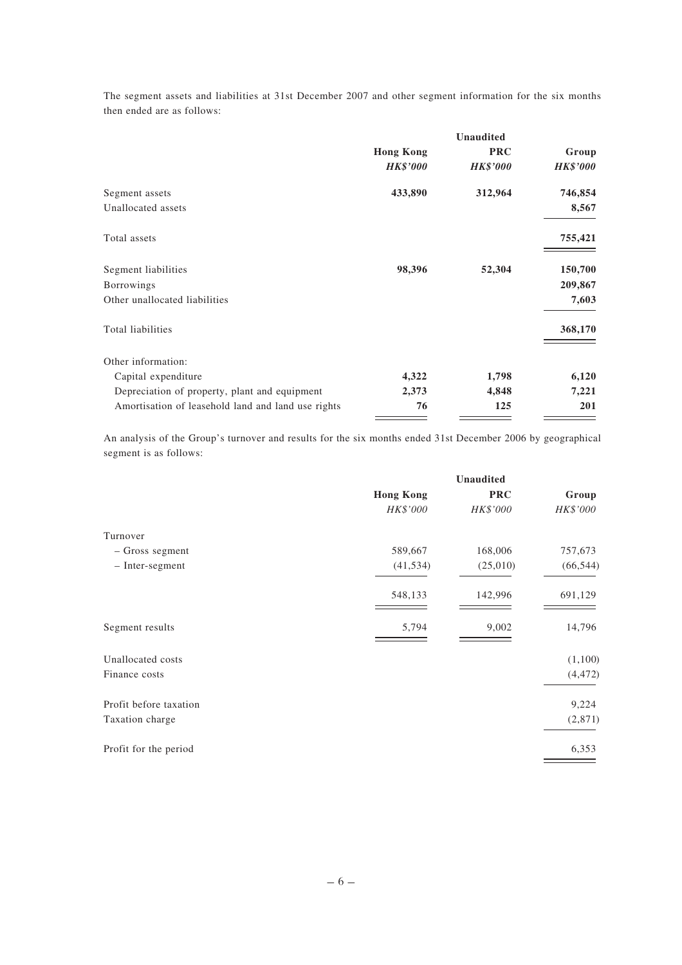The segment assets and liabilities at 31st December 2007 and other segment information for the six months then ended are as follows:

|                                                    |                  | <b>Unaudited</b> |                 |
|----------------------------------------------------|------------------|------------------|-----------------|
|                                                    | <b>Hong Kong</b> | <b>PRC</b>       | Group           |
|                                                    | <b>HK\$'000</b>  | <b>HK\$'000</b>  | <b>HK\$'000</b> |
| Segment assets                                     | 433,890          | 312,964          | 746,854         |
| Unallocated assets                                 |                  |                  | 8,567           |
| Total assets                                       |                  |                  | 755,421         |
| Segment liabilities                                | 98,396           | 52,304           | 150,700         |
| <b>Borrowings</b>                                  |                  |                  | 209,867         |
| Other unallocated liabilities                      |                  |                  | 7,603           |
| Total liabilities                                  |                  |                  | 368,170         |
| Other information:                                 |                  |                  |                 |
| Capital expenditure                                | 4,322            | 1,798            | 6,120           |
| Depreciation of property, plant and equipment      | 2,373            | 4,848            | 7,221           |
| Amortisation of leasehold land and land use rights | 76               | 125              | 201             |

An analysis of the Group's turnover and results for the six months ended 31st December 2006 by geographical segment is as follows:

|                        | Unaudited        |            |           |
|------------------------|------------------|------------|-----------|
|                        | <b>Hong Kong</b> | <b>PRC</b> | Group     |
|                        | HK\$'000         | HK\$'000   | HK\$'000  |
| Turnover               |                  |            |           |
| - Gross segment        | 589,667          | 168,006    | 757,673   |
| - Inter-segment        | (41, 534)        | (25,010)   | (66, 544) |
|                        | 548,133          | 142,996    | 691,129   |
| Segment results        | 5,794            | 9,002      | 14,796    |
| Unallocated costs      |                  |            | (1,100)   |
| Finance costs          |                  |            | (4, 472)  |
| Profit before taxation |                  |            | 9,224     |
| Taxation charge        |                  |            | (2,871)   |
| Profit for the period  |                  |            | 6,353     |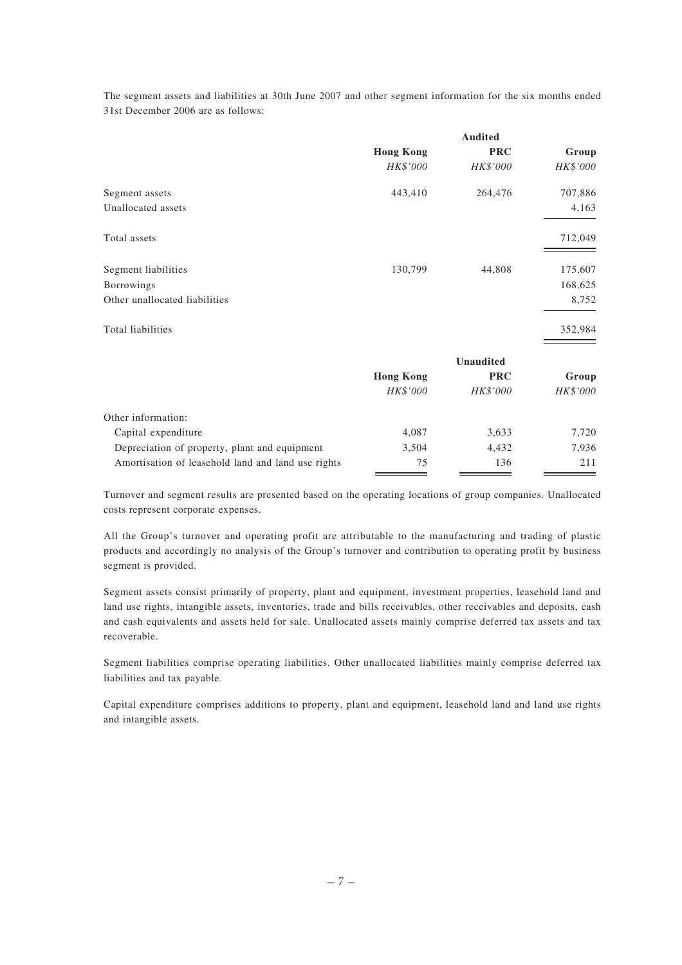The segment assets and liabilities at 30th June 2007 and other segment information for the six months ended 31st December 2006 are as follows:

|                                                    |                  | <b>Audited</b>   |          |
|----------------------------------------------------|------------------|------------------|----------|
|                                                    | <b>Hong Kong</b> | <b>PRC</b>       | Group    |
|                                                    | HK\$'000         | HK\$'000         | HK\$'000 |
| Segment assets                                     | 443,410          | 264,476          | 707,886  |
| Unallocated assets                                 |                  |                  | 4,163    |
| Total assets                                       |                  |                  | 712,049  |
| Segment liabilities                                | 130,799          | 44,808           | 175,607  |
| Borrowings                                         |                  |                  | 168,625  |
| Other unallocated liabilities                      |                  |                  | 8,752    |
| Total liabilities                                  |                  |                  | 352,984  |
|                                                    |                  | <b>Unaudited</b> |          |
|                                                    | <b>Hong Kong</b> | <b>PRC</b>       | Group    |
|                                                    | HK\$'000         | HK\$'000         | HK\$'000 |
| Other information:                                 |                  |                  |          |
| Capital expenditure                                | 4,087            | 3,633            | 7,720    |
| Depreciation of property, plant and equipment      | 3,504            | 4,432            | 7,936    |
| Amortisation of leasehold land and land use rights | 75               | 136              | 211      |

Turnover and segment results are presented based on the operating locations of group companies. Unallocated costs represent corporate expenses.

All the Group's turnover and operating profit are attributable to the manufacturing and trading of plastic products and accordingly no analysis of the Group's turnover and contribution to operating profit by business segment is provided.

Segment assets consist primarily of property, plant and equipment, investment properties, leasehold land and land use rights, intangible assets, inventories, trade and bills receivables, other receivables and deposits, cash and cash equivalents and assets held for sale. Unallocated assets mainly comprise deferred tax assets and tax recoverable.

Segment liabilities comprise operating liabilities. Other unallocated liabilities mainly comprise deferred tax liabilities and tax payable.

Capital expenditure comprises additions to property, plant and equipment, leasehold land and land use rights and intangible assets.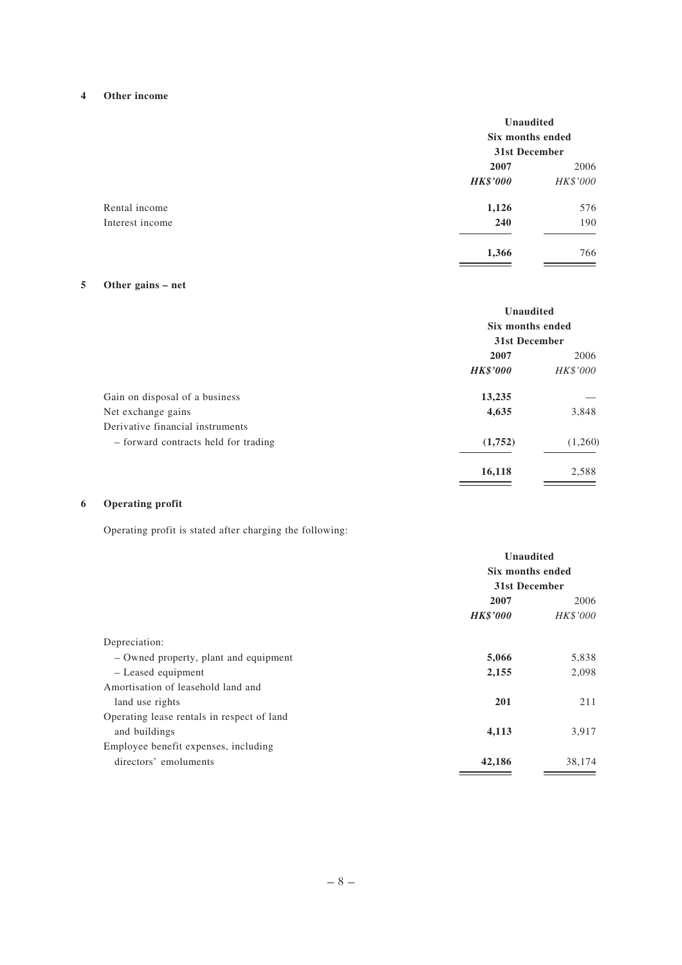# **4 Other income**

|                 | Unaudited<br>Six months ended<br>31st December |          |
|-----------------|------------------------------------------------|----------|
|                 | 2007                                           | 2006     |
|                 | <b>HK\$'000</b>                                | HK\$'000 |
| Rental income   | 1,126                                          | 576      |
| Interest income | 240                                            | 190      |
|                 | 1,366                                          | 766      |

# **5 Other gains – net**

|                                      | Unaudited<br>Six months ended<br>31st December |          |
|--------------------------------------|------------------------------------------------|----------|
|                                      |                                                |          |
|                                      |                                                |          |
|                                      | 2007                                           | 2006     |
|                                      | <b>HK\$'000</b>                                | HK\$'000 |
| Gain on disposal of a business       | 13,235                                         |          |
| Net exchange gains                   | 4,635                                          | 3,848    |
| Derivative financial instruments     |                                                |          |
| - forward contracts held for trading | (1,752)                                        | (1,260)  |
|                                      | 16,118                                         | 2,588    |
|                                      |                                                |          |

# **6 Operating profit**

Operating profit is stated after charging the following:

|                                            | <b>Unaudited</b><br>Six months ended<br><b>31st December</b> |          |
|--------------------------------------------|--------------------------------------------------------------|----------|
|                                            |                                                              |          |
|                                            |                                                              |          |
|                                            | 2007                                                         | 2006     |
|                                            | <b>HK\$'000</b>                                              | HK\$'000 |
| Depreciation:                              |                                                              |          |
| - Owned property, plant and equipment      | 5,066                                                        | 5,838    |
| - Leased equipment                         | 2,155                                                        | 2,098    |
| Amortisation of leasehold land and         |                                                              |          |
| land use rights                            | 201                                                          | 211      |
| Operating lease rentals in respect of land |                                                              |          |
| and buildings                              | 4,113                                                        | 3,917    |
| Employee benefit expenses, including       |                                                              |          |
| directors' emoluments                      | 42,186                                                       | 38,174   |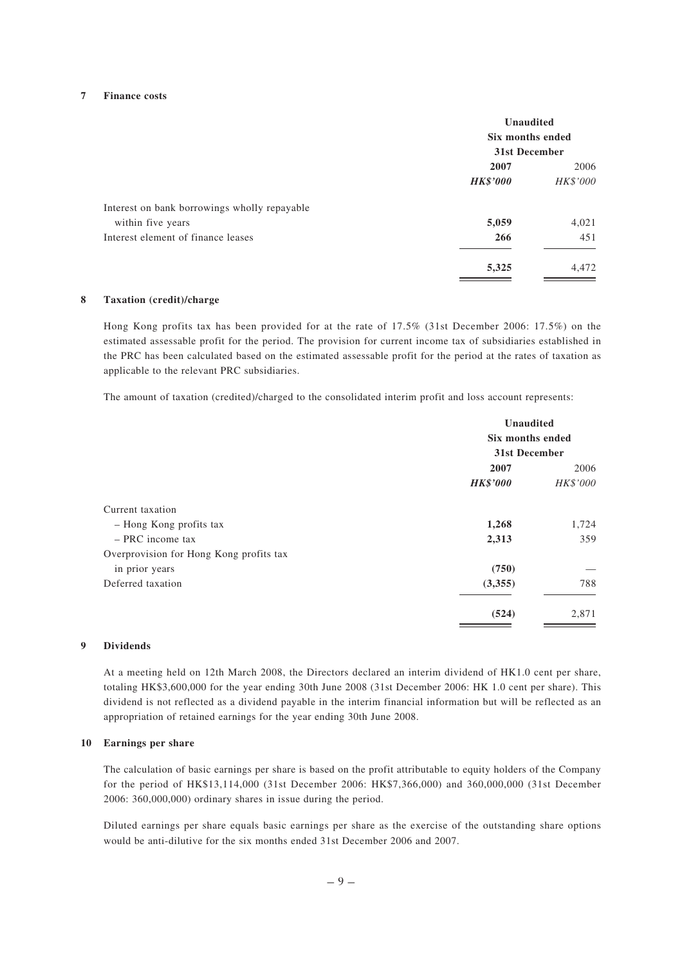#### **7 Finance costs**

|                                              | <b>Unaudited</b><br>Six months ended<br>31st December |          |
|----------------------------------------------|-------------------------------------------------------|----------|
|                                              | 2007                                                  | 2006     |
|                                              | <b>HK\$'000</b>                                       | HK\$'000 |
| Interest on bank borrowings wholly repayable |                                                       |          |
| within five years                            | 5,059                                                 | 4,021    |
| Interest element of finance leases           | 266                                                   | 451      |
|                                              | 5,325                                                 | 4,472    |

#### **8 Taxation (credit)/charge**

Hong Kong profits tax has been provided for at the rate of 17.5% (31st December 2006: 17.5%) on the estimated assessable profit for the period. The provision for current income tax of subsidiaries established in the PRC has been calculated based on the estimated assessable profit for the period at the rates of taxation as applicable to the relevant PRC subsidiaries.

The amount of taxation (credited)/charged to the consolidated interim profit and loss account represents:

| <b>Unaudited</b><br>Six months ended<br>31st December |       |                 |          |
|-------------------------------------------------------|-------|-----------------|----------|
|                                                       |       | 2007            | 2006     |
|                                                       |       | <b>HK\$'000</b> | HK\$'000 |
|                                                       |       |                 |          |
| 1,268                                                 | 1,724 |                 |          |
| 2,313                                                 | 359   |                 |          |
|                                                       |       |                 |          |
| (750)                                                 |       |                 |          |
| (3,355)                                               | 788   |                 |          |
| (524)                                                 | 2,871 |                 |          |
|                                                       |       |                 |          |

#### **9 Dividends**

At a meeting held on 12th March 2008, the Directors declared an interim dividend of HK1.0 cent per share, totaling HK\$3,600,000 for the year ending 30th June 2008 (31st December 2006: HK 1.0 cent per share). This dividend is not reflected as a dividend payable in the interim financial information but will be reflected as an appropriation of retained earnings for the year ending 30th June 2008.

#### **10 Earnings per share**

The calculation of basic earnings per share is based on the profit attributable to equity holders of the Company for the period of HK\$13,114,000 (31st December 2006: HK\$7,366,000) and 360,000,000 (31st December 2006: 360,000,000) ordinary shares in issue during the period.

Diluted earnings per share equals basic earnings per share as the exercise of the outstanding share options would be anti-dilutive for the six months ended 31st December 2006 and 2007.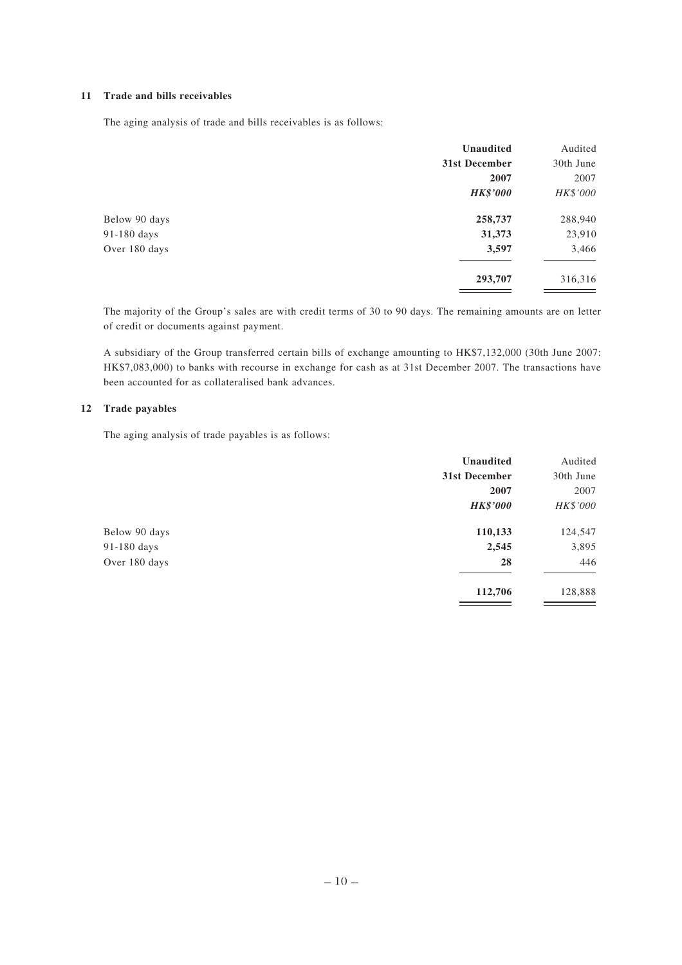## **11 Trade and bills receivables**

The aging analysis of trade and bills receivables is as follows:

| Unaudited       | Audited   |
|-----------------|-----------|
| 31st December   | 30th June |
| 2007            | 2007      |
| <b>HK\$'000</b> | HK\$'000  |
| 258,737         | 288,940   |
| 31,373          | 23,910    |
| 3,597           | 3,466     |
| 293,707         | 316,316   |
|                 |           |

The majority of the Group's sales are with credit terms of 30 to 90 days. The remaining amounts are on letter of credit or documents against payment.

A subsidiary of the Group transferred certain bills of exchange amounting to HK\$7,132,000 (30th June 2007: HK\$7,083,000) to banks with recourse in exchange for cash as at 31st December 2007. The transactions have been accounted for as collateralised bank advances.

#### **12 Trade payables**

The aging analysis of trade payables is as follows:

|               | Unaudited       | Audited   |
|---------------|-----------------|-----------|
|               | 31st December   | 30th June |
|               | 2007            | 2007      |
|               | <b>HK\$'000</b> | HK\$'000  |
| Below 90 days | 110,133         | 124,547   |
| 91-180 days   | 2,545           | 3,895     |
| Over 180 days | 28              | 446       |
|               | 112,706         | 128,888   |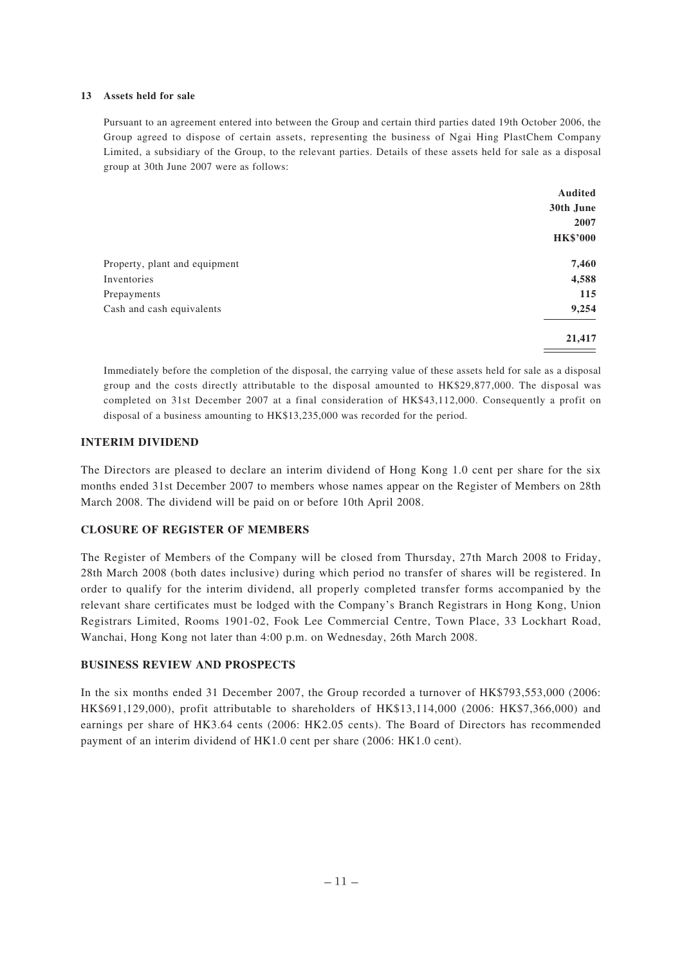#### **13 Assets held for sale**

Pursuant to an agreement entered into between the Group and certain third parties dated 19th October 2006, the Group agreed to dispose of certain assets, representing the business of Ngai Hing PlastChem Company Limited, a subsidiary of the Group, to the relevant parties. Details of these assets held for sale as a disposal group at 30th June 2007 were as follows:

|                               | Audited         |
|-------------------------------|-----------------|
|                               | 30th June       |
|                               | 2007            |
|                               | <b>HK\$'000</b> |
| Property, plant and equipment | 7,460           |
| Inventories                   | 4,588           |
| Prepayments                   | 115             |
| Cash and cash equivalents     | 9,254           |
|                               | 21,417          |

Immediately before the completion of the disposal, the carrying value of these assets held for sale as a disposal group and the costs directly attributable to the disposal amounted to HK\$29,877,000. The disposal was completed on 31st December 2007 at a final consideration of HK\$43,112,000. Consequently a profit on disposal of a business amounting to HK\$13,235,000 was recorded for the period.

#### **INTERIM DIVIDEND**

The Directors are pleased to declare an interim dividend of Hong Kong 1.0 cent per share for the six months ended 31st December 2007 to members whose names appear on the Register of Members on 28th March 2008. The dividend will be paid on or before 10th April 2008.

#### **CLOSURE OF REGISTER OF MEMBERS**

The Register of Members of the Company will be closed from Thursday, 27th March 2008 to Friday, 28th March 2008 (both dates inclusive) during which period no transfer of shares will be registered. In order to qualify for the interim dividend, all properly completed transfer forms accompanied by the relevant share certificates must be lodged with the Company's Branch Registrars in Hong Kong, Union Registrars Limited, Rooms 1901-02, Fook Lee Commercial Centre, Town Place, 33 Lockhart Road, Wanchai, Hong Kong not later than 4:00 p.m. on Wednesday, 26th March 2008.

#### **BUSINESS REVIEW AND PROSPECTS**

In the six months ended 31 December 2007, the Group recorded a turnover of HK\$793,553,000 (2006: HK\$691,129,000), profit attributable to shareholders of HK\$13,114,000 (2006: HK\$7,366,000) and earnings per share of HK3.64 cents (2006: HK2.05 cents). The Board of Directors has recommended payment of an interim dividend of HK1.0 cent per share (2006: HK1.0 cent).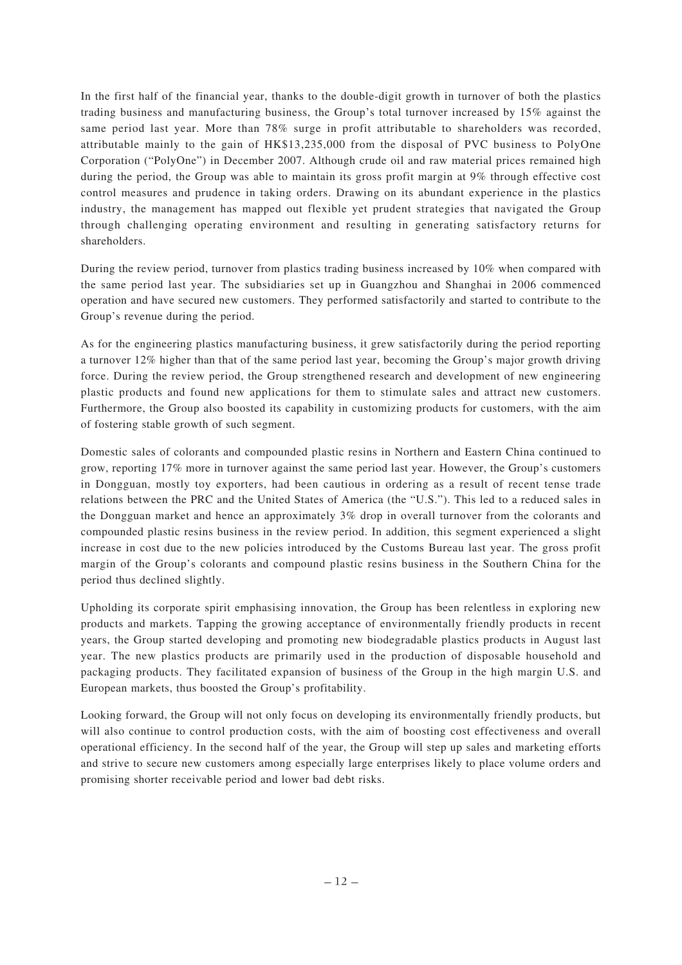In the first half of the financial year, thanks to the double-digit growth in turnover of both the plastics trading business and manufacturing business, the Group's total turnover increased by 15% against the same period last year. More than 78% surge in profit attributable to shareholders was recorded, attributable mainly to the gain of HK\$13,235,000 from the disposal of PVC business to PolyOne Corporation ("PolyOne") in December 2007. Although crude oil and raw material prices remained high during the period, the Group was able to maintain its gross profit margin at 9% through effective cost control measures and prudence in taking orders. Drawing on its abundant experience in the plastics industry, the management has mapped out flexible yet prudent strategies that navigated the Group through challenging operating environment and resulting in generating satisfactory returns for shareholders.

During the review period, turnover from plastics trading business increased by 10% when compared with the same period last year. The subsidiaries set up in Guangzhou and Shanghai in 2006 commenced operation and have secured new customers. They performed satisfactorily and started to contribute to the Group's revenue during the period.

As for the engineering plastics manufacturing business, it grew satisfactorily during the period reporting a turnover 12% higher than that of the same period last year, becoming the Group's major growth driving force. During the review period, the Group strengthened research and development of new engineering plastic products and found new applications for them to stimulate sales and attract new customers. Furthermore, the Group also boosted its capability in customizing products for customers, with the aim of fostering stable growth of such segment.

Domestic sales of colorants and compounded plastic resins in Northern and Eastern China continued to grow, reporting 17% more in turnover against the same period last year. However, the Group's customers in Dongguan, mostly toy exporters, had been cautious in ordering as a result of recent tense trade relations between the PRC and the United States of America (the "U.S."). This led to a reduced sales in the Dongguan market and hence an approximately 3% drop in overall turnover from the colorants and compounded plastic resins business in the review period. In addition, this segment experienced a slight increase in cost due to the new policies introduced by the Customs Bureau last year. The gross profit margin of the Group's colorants and compound plastic resins business in the Southern China for the period thus declined slightly.

Upholding its corporate spirit emphasising innovation, the Group has been relentless in exploring new products and markets. Tapping the growing acceptance of environmentally friendly products in recent years, the Group started developing and promoting new biodegradable plastics products in August last year. The new plastics products are primarily used in the production of disposable household and packaging products. They facilitated expansion of business of the Group in the high margin U.S. and European markets, thus boosted the Group's profitability.

Looking forward, the Group will not only focus on developing its environmentally friendly products, but will also continue to control production costs, with the aim of boosting cost effectiveness and overall operational efficiency. In the second half of the year, the Group will step up sales and marketing efforts and strive to secure new customers among especially large enterprises likely to place volume orders and promising shorter receivable period and lower bad debt risks.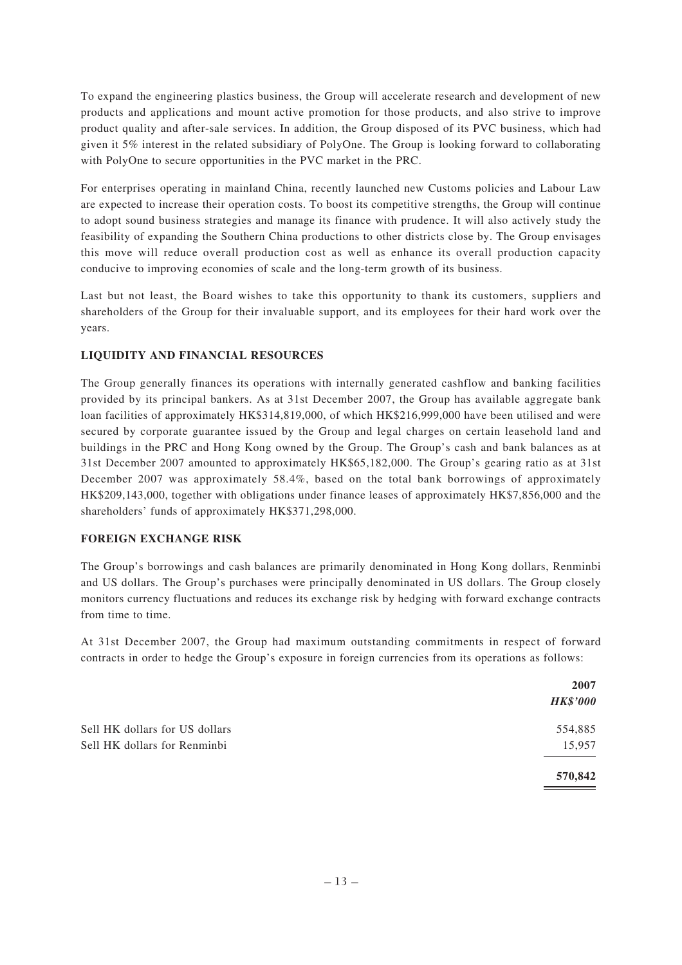To expand the engineering plastics business, the Group will accelerate research and development of new products and applications and mount active promotion for those products, and also strive to improve product quality and after-sale services. In addition, the Group disposed of its PVC business, which had given it 5% interest in the related subsidiary of PolyOne. The Group is looking forward to collaborating with PolyOne to secure opportunities in the PVC market in the PRC.

For enterprises operating in mainland China, recently launched new Customs policies and Labour Law are expected to increase their operation costs. To boost its competitive strengths, the Group will continue to adopt sound business strategies and manage its finance with prudence. It will also actively study the feasibility of expanding the Southern China productions to other districts close by. The Group envisages this move will reduce overall production cost as well as enhance its overall production capacity conducive to improving economies of scale and the long-term growth of its business.

Last but not least, the Board wishes to take this opportunity to thank its customers, suppliers and shareholders of the Group for their invaluable support, and its employees for their hard work over the years.

# **LIQUIDITY AND FINANCIAL RESOURCES**

The Group generally finances its operations with internally generated cashflow and banking facilities provided by its principal bankers. As at 31st December 2007, the Group has available aggregate bank loan facilities of approximately HK\$314,819,000, of which HK\$216,999,000 have been utilised and were secured by corporate guarantee issued by the Group and legal charges on certain leasehold land and buildings in the PRC and Hong Kong owned by the Group. The Group's cash and bank balances as at 31st December 2007 amounted to approximately HK\$65,182,000. The Group's gearing ratio as at 31st December 2007 was approximately 58.4%, based on the total bank borrowings of approximately HK\$209,143,000, together with obligations under finance leases of approximately HK\$7,856,000 and the shareholders' funds of approximately HK\$371,298,000.

# **FOREIGN EXCHANGE RISK**

The Group's borrowings and cash balances are primarily denominated in Hong Kong dollars, Renminbi and US dollars. The Group's purchases were principally denominated in US dollars. The Group closely monitors currency fluctuations and reduces its exchange risk by hedging with forward exchange contracts from time to time.

At 31st December 2007, the Group had maximum outstanding commitments in respect of forward contracts in order to hedge the Group's exposure in foreign currencies from its operations as follows:

|                                | 2007            |
|--------------------------------|-----------------|
|                                | <b>HK\$'000</b> |
| Sell HK dollars for US dollars | 554,885         |
| Sell HK dollars for Renminbi   | 15,957          |
|                                | 570,842         |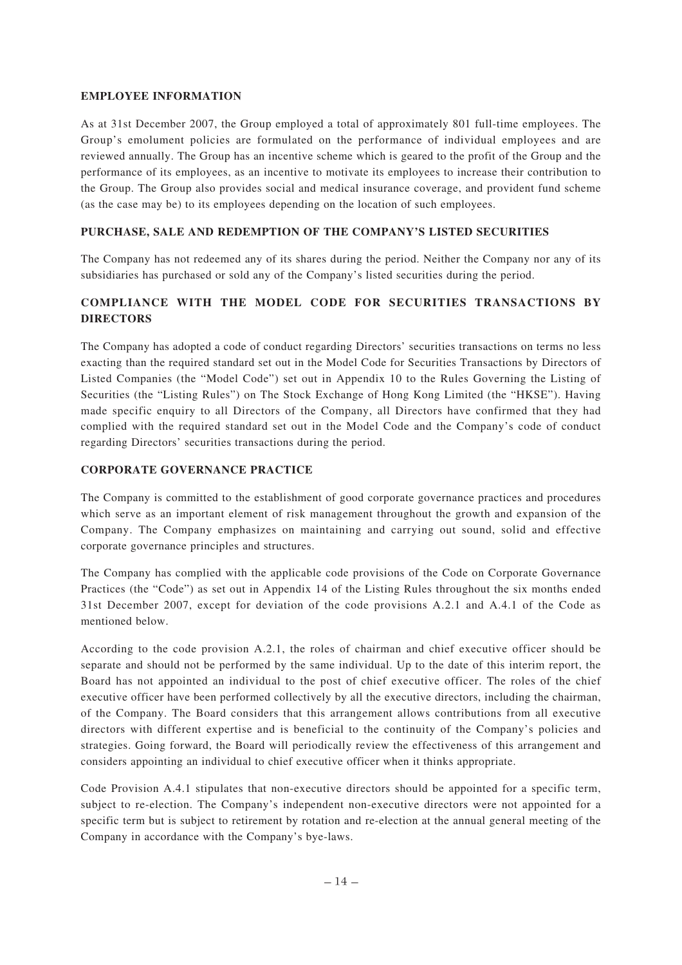#### **EMPLOYEE INFORMATION**

As at 31st December 2007, the Group employed a total of approximately 801 full-time employees. The Group's emolument policies are formulated on the performance of individual employees and are reviewed annually. The Group has an incentive scheme which is geared to the profit of the Group and the performance of its employees, as an incentive to motivate its employees to increase their contribution to the Group. The Group also provides social and medical insurance coverage, and provident fund scheme (as the case may be) to its employees depending on the location of such employees.

# **PURCHASE, SALE AND REDEMPTION OF THE COMPANY'S LISTED SECURITIES**

The Company has not redeemed any of its shares during the period. Neither the Company nor any of its subsidiaries has purchased or sold any of the Company's listed securities during the period.

# **COMPLIANCE WITH THE MODEL CODE FOR SECURITIES TRANSACTIONS BY DIRECTORS**

The Company has adopted a code of conduct regarding Directors' securities transactions on terms no less exacting than the required standard set out in the Model Code for Securities Transactions by Directors of Listed Companies (the "Model Code") set out in Appendix 10 to the Rules Governing the Listing of Securities (the "Listing Rules") on The Stock Exchange of Hong Kong Limited (the "HKSE"). Having made specific enquiry to all Directors of the Company, all Directors have confirmed that they had complied with the required standard set out in the Model Code and the Company's code of conduct regarding Directors' securities transactions during the period.

## **CORPORATE GOVERNANCE PRACTICE**

The Company is committed to the establishment of good corporate governance practices and procedures which serve as an important element of risk management throughout the growth and expansion of the Company. The Company emphasizes on maintaining and carrying out sound, solid and effective corporate governance principles and structures.

The Company has complied with the applicable code provisions of the Code on Corporate Governance Practices (the "Code") as set out in Appendix 14 of the Listing Rules throughout the six months ended 31st December 2007, except for deviation of the code provisions A.2.1 and A.4.1 of the Code as mentioned below.

According to the code provision A.2.1, the roles of chairman and chief executive officer should be separate and should not be performed by the same individual. Up to the date of this interim report, the Board has not appointed an individual to the post of chief executive officer. The roles of the chief executive officer have been performed collectively by all the executive directors, including the chairman, of the Company. The Board considers that this arrangement allows contributions from all executive directors with different expertise and is beneficial to the continuity of the Company's policies and strategies. Going forward, the Board will periodically review the effectiveness of this arrangement and considers appointing an individual to chief executive officer when it thinks appropriate.

Code Provision A.4.1 stipulates that non-executive directors should be appointed for a specific term, subject to re-election. The Company's independent non-executive directors were not appointed for a specific term but is subject to retirement by rotation and re-election at the annual general meeting of the Company in accordance with the Company's bye-laws.